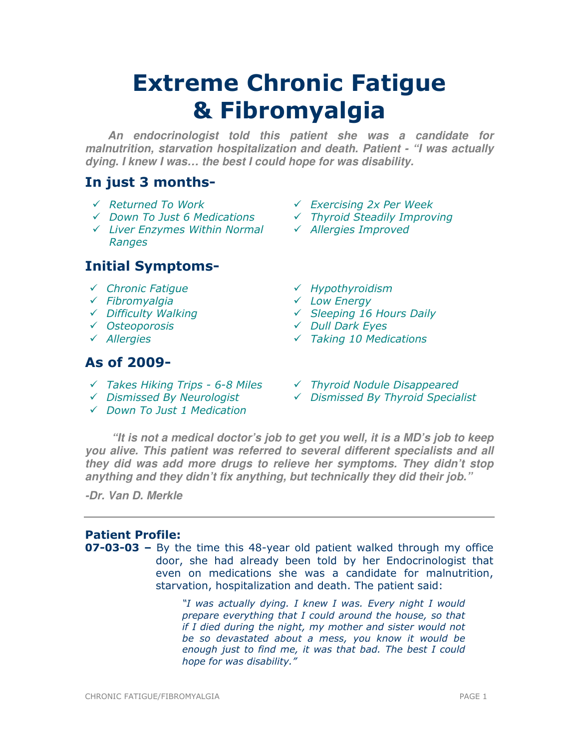# Extreme Chronic Fatigue & Fibromyalgia

**An endocrinologist told this patient she was a candidate for malnutrition, starvation hospitalization and death. Patient - "I was actually dying. I knew I was… the best I could hope for was disability.** 

# In just 3 months-

- 
- 
- $\checkmark$  Liver Enzymes Within Normal  $\checkmark$  Allergies Improved Ranges

# Initial Symptoms-

- 
- $\checkmark$  Fibromyalgia
- Difficulty Walking
- 
- 

# As of 2009-

- $\checkmark$  Takes Hiking Trips 6-8 Miles  $\checkmark$  Thyroid Nodule Disappeared
- 
- $\checkmark$  Down To Just 1 Medication
- Returned To Work Exercising 2x Per Week
- $\checkmark$  Down To Just 6 Medications  $\checkmark$  Thyroid Steadily Improving
	-
- $\checkmark$  Chronic Fatigue  $\checkmark$  Hypothyroidism
	- Low Energy
	- $\checkmark$  Sleeping 16 Hours Daily
- ← Osteoporosis 
<br>
→ Osteoporosis

→ Dull Dark Eyes
- Allergies Taking 10 Medications
	-
- $\checkmark$  Dismissed By Neurologist  $\checkmark$  Dismissed By Thyroid Specialist

**"It is not a medical doctor's job to get you well, it is a MD's job to keep you alive. This patient was referred to several different specialists and all they did was add more drugs to relieve her symptoms. They didn't stop anything and they didn't fix anything, but technically they did their job."** 

**-Dr. Van D. Merkle** 

# Patient Profile:

**07-03-03 –** By the time this 48-year old patient walked through my office door, she had already been told by her Endocrinologist that even on medications she was a candidate for malnutrition, starvation, hospitalization and death. The patient said:

> "I was actually dying. I knew I was. Every night I would prepare everything that I could around the house, so that if I died during the night, my mother and sister would not be so devastated about a mess, you know it would be enough just to find me, it was that bad. The best I could hope for was disability."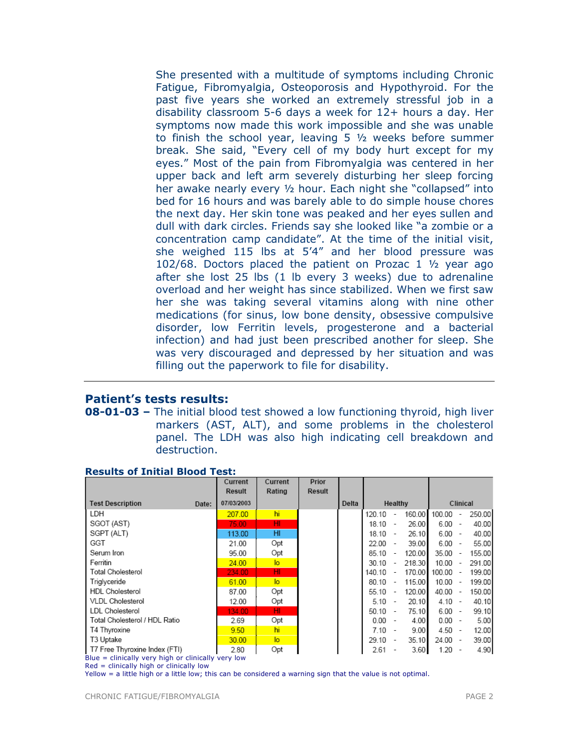She presented with a multitude of symptoms including Chronic Fatigue, Fibromyalgia, Osteoporosis and Hypothyroid. For the past five years she worked an extremely stressful job in a disability classroom 5-6 days a week for 12+ hours a day. Her symptoms now made this work impossible and she was unable to finish the school year, leaving 5 ½ weeks before summer break. She said, "Every cell of my body hurt except for my eyes." Most of the pain from Fibromyalgia was centered in her upper back and left arm severely disturbing her sleep forcing her awake nearly every ½ hour. Each night she "collapsed" into bed for 16 hours and was barely able to do simple house chores the next day. Her skin tone was peaked and her eyes sullen and dull with dark circles. Friends say she looked like "a zombie or a concentration camp candidate". At the time of the initial visit, she weighed 115 lbs at 5'4" and her blood pressure was 102/68. Doctors placed the patient on Prozac 1 ½ year ago after she lost 25 lbs (1 lb every 3 weeks) due to adrenaline overload and her weight has since stabilized. When we first saw her she was taking several vitamins along with nine other medications (for sinus, low bone density, obsessive compulsive disorder, low Ferritin levels, progesterone and a bacterial infection) and had just been prescribed another for sleep. She was very discouraged and depressed by her situation and was filling out the paperwork to file for disability.

## Patient's tests results:

08-01-03 – The initial blood test showed a low functioning thyroid, high liver markers (AST, ALT), and some problems in the cholesterol panel. The LDH was also high indicating cell breakdown and destruction.

|                                                      |       | Current<br>Result | Current<br>Rating | Prior<br>Result |       |           |                          |          |            |                          |        |
|------------------------------------------------------|-------|-------------------|-------------------|-----------------|-------|-----------|--------------------------|----------|------------|--------------------------|--------|
| <b>Test Description</b>                              | Date: | 07/03/2003        |                   |                 | Delta | Healthy   |                          | Clinical |            |                          |        |
| LDH                                                  |       | 207.00            | hi                |                 |       | 120.10    | $\overline{\phantom{a}}$ | 160.00   | 100.00     | $\overline{\phantom{a}}$ | 250.00 |
| SGOT (AST)                                           |       | 75.00             | HI                |                 |       | $18.10 -$ |                          | 26.00    | $6.00 -$   |                          | 40.00  |
| SGPT (ALT)                                           |       | 113.00            | HI                |                 |       | $18.10 -$ |                          | 26.10    | $6.00 -$   |                          | 40.00  |
| GGT                                                  |       | 21.00             | Opt               |                 |       | $22.00 -$ |                          | 39.00    | $6.00 -$   |                          | 55.00  |
| Serum Iron                                           |       | 95.00             | Opt               |                 |       | 85.10     | $\overline{\phantom{a}}$ | 120.00   | $35.00 -$  |                          | 155.00 |
| Ferritin                                             |       | 24.00             | $\overline{a}$    |                 |       | 30.10     | $\overline{\phantom{a}}$ | 218.30   | $10.00 -$  |                          | 291.00 |
| Total Cholesterol                                    |       | 234.00            | HI                |                 |       | 140.10    | $\overline{\phantom{a}}$ | 170.00   | $100.00 -$ |                          | 199.00 |
| Triglyceride                                         |       | 61.00             | $\overline{a}$    |                 |       | 80.10     | $\overline{\phantom{a}}$ | 115.00   | $10.00 -$  |                          | 199.00 |
| <b>HDL</b> Cholesterol                               |       | 87.00             | Opt               |                 |       | 55.10     | $\overline{\phantom{a}}$ | 120.00   | $40.00 -$  |                          | 150.00 |
| <b>VLDL Cholesterol</b>                              |       | 12.00             | Opt               |                 |       | $5.10 -$  |                          | 20.10    | $4.10 -$   |                          | 40.10  |
| <b>LDL Cholesterol</b>                               |       | 134.00            | HI                |                 |       | 50.10     | $\overline{\phantom{a}}$ | 75.10    | $6.00 -$   |                          | 99.10  |
| Total Cholesterol / HDL Ratio                        |       | 2.69              | Opt               |                 |       | 0.00      |                          | 4.00     | $0.00 -$   |                          | 5.00   |
| T4 Thyroxine                                         |       | 9.50              | hi                |                 |       | $7.10 -$  |                          | 9.00     | $4.50 -$   |                          | 12.00  |
| T3 Uptake                                            |       | 30.00             | $\overline{a}$    |                 |       | 29.10     | $\overline{\phantom{a}}$ | 35.10    | $24.00 -$  |                          | 39.00  |
| T7 Free Thyroxine Index (FTI)                        |       | 2.80              | Opt               |                 |       | 2.61      |                          | 3.60     | 1.20       |                          | 4.90   |
| $Blue = chirically$ very high or clinically very low |       |                   |                   |                 |       |           |                          |          |            |                          |        |

## Results of Initial Blood Test:

Blue = clinically very high or clinically very low

Yellow = a little high or a little low; this can be considered a warning sign that the value is not optimal.

 $Red =$  clinically high or clinically low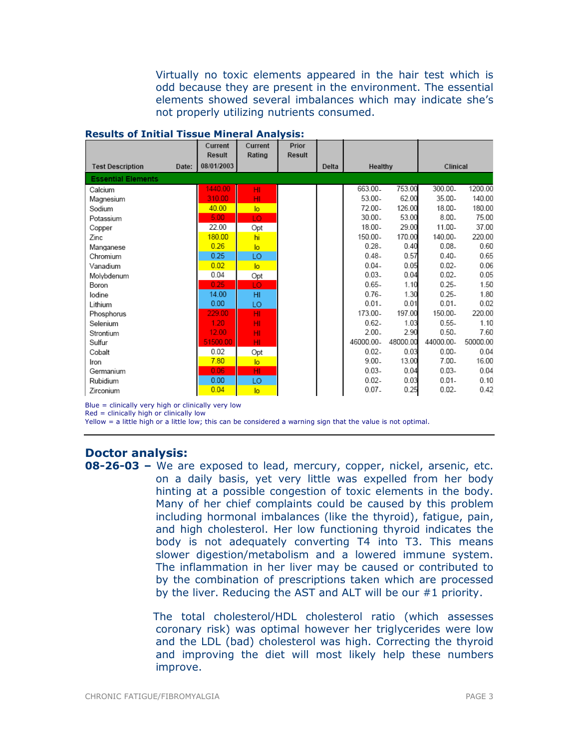Virtually no toxic elements appeared in the hair test which is odd because they are present in the environment. The essential elements showed several imbalances which may indicate she's not properly utilizing nutrients consumed.

| Results of Initial Hissue Philefal Analysis. | Current<br>Result | Current<br>Rating | Prior<br><b>Result</b> |       |           |          |           |          |
|----------------------------------------------|-------------------|-------------------|------------------------|-------|-----------|----------|-----------|----------|
| <b>Test Description</b><br>Date:             | 08/01/2003        |                   |                        | Delta | Healthy   |          | Clinical  |          |
| <b>Essential Elements</b>                    |                   |                   |                        |       |           |          |           |          |
| Calcium                                      | 1440.00           | HI                |                        |       | 663.00.   | 753.00   | 300.00.   | 1200.00  |
| Magnesium                                    | 310.00            | HI                |                        |       | $53.00 -$ | 62.00    | 35.00-    | 140.00   |
| Sodium                                       | 40.00             | $\overline{a}$    |                        |       | 72.00-    | 126.00   | 18.00-    | 180.00   |
| Potassium                                    | 5.00              | LO                |                        |       | $30.00 -$ | 53.00    | $8.00 -$  | 75.00    |
| Copper                                       | 22.00             | Opt               |                        |       | $18.00 -$ | 29.00    | 11.00-    | 37.00    |
| Zinc                                         | 180.00            | hi                |                        |       | 150.00-   | 170.00   | 140.00-   | 220.00   |
| Manganese                                    | 0.26              | $\overline{a}$    |                        |       | $0.28 -$  | 0.40     | $0.08 -$  | 0.60     |
| Chromium                                     | 0.25              | LO                |                        |       | $0.48 -$  | 0.57     | $0.40 -$  | 0.65     |
| Vanadium                                     | 0.02              | $\overline{a}$    |                        |       | $0.04 -$  | 0.05     | $0.02 -$  | 0.06     |
| Molvbdenum                                   | 0.04              | Opt               |                        |       | $0.03 -$  | 0.04     | $0.02 -$  | 0.05     |
| Boron                                        | 0.25              | LO                |                        |       | $0.65 -$  | 1.10     | $0.25 -$  | 1.50     |
| lodine                                       | 14.00             | H <sub>II</sub>   |                        |       | $0.76 -$  | 1.30     | $0.25 -$  | 1.80     |
| Lithium                                      | 0.00              | LO                |                        |       | $0.01 -$  | 0.01     | $0.01 -$  | 0.02     |
| Phosphorus                                   | 229.00            | HI.               |                        |       | 173.00-   | 197.00   | 150.00-   | 220.00   |
| Selenium                                     | 1.20              | HI                |                        |       | $0.62 -$  | 1.03     | $0.55 -$  | 1.10     |
| Strontium                                    | 12.00             | HI                |                        |       | $2.00 -$  | 2.90     | $0.50 -$  | 7.60     |
| Sulfur                                       | 51500.00          | HI                |                        |       | 46000.00- | 48000.00 | 44000.00- | 50000.00 |
| Cobalt                                       | 0.02              | Opt               |                        |       | $0.02 -$  | 0.03     | $0.00 -$  | 0.04     |
| Iron                                         | 7.80              | $\overline{a}$    |                        |       | $9.00 -$  | 13.00    | $7.00 -$  | 16.00    |
| Germanium                                    | 0.06              | HI.               |                        |       | $0.03 -$  | 0.04     | $0.03 -$  | 0.04     |
| Rubidium                                     | 0.00              | LO                |                        |       | $0.02 -$  | 0.03     | $0.01 -$  | 0.10     |
| Zirconium                                    | 0.04              | $\overline{a}$    |                        |       | $0.07 -$  | 0.25     | $0.02 -$  | 0.42     |

#### Results of Initial Tissue Mineral Analysis:

Blue = clinically very high or clinically very low

Red = clinically high or clinically low

Yellow = a little high or a little low; this can be considered a warning sign that the value is not optimal.

## Doctor analysis:

**08-26-03 –** We are exposed to lead, mercury, copper, nickel, arsenic, etc. on a daily basis, yet very little was expelled from her body hinting at a possible congestion of toxic elements in the body. Many of her chief complaints could be caused by this problem including hormonal imbalances (like the thyroid), fatigue, pain, and high cholesterol. Her low functioning thyroid indicates the body is not adequately converting T4 into T3. This means slower digestion/metabolism and a lowered immune system. The inflammation in her liver may be caused or contributed to by the combination of prescriptions taken which are processed by the liver. Reducing the AST and ALT will be our #1 priority.

> The total cholesterol/HDL cholesterol ratio (which assesses coronary risk) was optimal however her triglycerides were low and the LDL (bad) cholesterol was high. Correcting the thyroid and improving the diet will most likely help these numbers improve.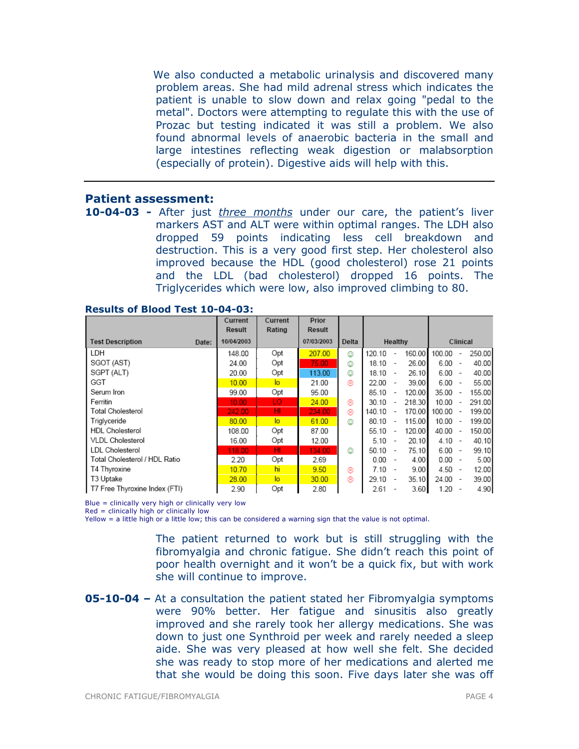We also conducted a metabolic urinalysis and discovered many problem areas. She had mild adrenal stress which indicates the patient is unable to slow down and relax going "pedal to the metal". Doctors were attempting to regulate this with the use of Prozac but testing indicated it was still a problem. We also found abnormal levels of anaerobic bacteria in the small and large intestines reflecting weak digestion or malabsorption (especially of protein). Digestive aids will help with this.

#### Patient assessment:

10-04-03 - After just *three months* under our care, the patient's liver markers AST and ALT were within optimal ranges. The LDH also dropped 59 points indicating less cell breakdown and destruction. This is a very good first step. Her cholesterol also improved because the HDL (good cholesterol) rose 21 points and the LDL (bad cholesterol) dropped 16 points. The Triglycerides which were low, also improved climbing to 80.

|                                  | Current<br>Result | Current<br>Rating | Prior<br>Result |       |         |                          |        |          |                          |        |  |  |  |  |          |  |
|----------------------------------|-------------------|-------------------|-----------------|-------|---------|--------------------------|--------|----------|--------------------------|--------|--|--|--|--|----------|--|
| <b>Test Description</b><br>Date: | 10/04/2003        |                   | 07/03/2003      | Delta | Healthy |                          |        |          |                          |        |  |  |  |  | Clinical |  |
| LDH                              | 148.00            | Opt               | 207.00          | ☺     | 120.10  | $\overline{\phantom{a}}$ | 160.00 | 100.00   | $\overline{\phantom{a}}$ | 250.00 |  |  |  |  |          |  |
| SGOT (AST)                       | 24.00             | Opt               | 75.00           | ٧     | 18.10   | $\overline{\phantom{a}}$ | 26.00  | 6.00     | $\overline{\phantom{a}}$ | 40.00  |  |  |  |  |          |  |
| SGPT (ALT)                       | 20.00             | Opt               | 113.00          | ٧     | 18.10   | $\sim$                   | 26.10  | 6.00     | $\overline{\phantom{a}}$ | 40.00  |  |  |  |  |          |  |
| GGT                              | 10.00             | $\overline{a}$    | 21.00           | ⊛     | 22.00   | $\sim$                   | 39.00  | 6.00     | $\overline{\phantom{a}}$ | 55.00  |  |  |  |  |          |  |
| Serum Iron                       | 99.00             | Opt               | 95.00           |       | 85.10   |                          | 120.00 | 35.00    | $\overline{\phantom{a}}$ | 155.00 |  |  |  |  |          |  |
| Ferritin                         | 10.00             | LO.               | 24.00           | ⊛     | 30.10   |                          | 218.30 | 10.00    | $\overline{\phantom{a}}$ | 291.00 |  |  |  |  |          |  |
| Total Cholesterol                | 242.00            | HI                | 234.00          | ⊛     | 140.10  | $\overline{\phantom{a}}$ | 170.00 | 100.00   | $\sim$                   | 199.00 |  |  |  |  |          |  |
| Triglyceride                     | 80.00             | $\overline{a}$    | 61.00           | ٧     | 80.10   | $\overline{\phantom{a}}$ | 115.00 | 10.00    | $\overline{\phantom{a}}$ | 199.00 |  |  |  |  |          |  |
| <b>HDL</b> Cholesterol           | 108.00            | Opt               | 87.00           |       | 55.10   | $\overline{\phantom{a}}$ | 120.00 | 40.00    | $\overline{\phantom{a}}$ | 150.00 |  |  |  |  |          |  |
| VLDL Cholesterol                 | 16.00             | Opt               | 12.00           |       | 5.10    | $\overline{\phantom{a}}$ | 20.10  | $4.10 -$ |                          | 40.10  |  |  |  |  |          |  |
| <b>LDL Cholesterol</b>           | 118.00            | HI                | 134.00          | ☺     | 50.10   | $\overline{\phantom{a}}$ | 75.10  | $6.00 -$ |                          | 99.10  |  |  |  |  |          |  |
| Total Cholesterol / HDL Ratio    | 2.20              | Opt               | 2.69            |       | 0.00    |                          | 4.00   | $0.00 -$ |                          | 5.00   |  |  |  |  |          |  |
| T4 Thyroxine                     | 10.70             | hi                | 9.50            | ⊛     | 7.10    |                          | 9.00   | 4.50     | $\sim$                   | 12.00  |  |  |  |  |          |  |
| T3 Uptake                        | 28.00             | $\overline{a}$    | 30.00           | ⊛     | 29.10   |                          | 35.10  | 24.00    | $\overline{\phantom{a}}$ | 39.00  |  |  |  |  |          |  |
| T7 Free Thyroxine Index (FTI)    | 2.90              | Opt               | 2.80            |       | 2.61    |                          | 3.60   | 1.20     | $\overline{\phantom{a}}$ | 4.90   |  |  |  |  |          |  |

#### Results of Blood Test 10-04-03:

Blue = clinically very high or clinically very low

Red = clinically high or clinically low

Yellow = a little high or a little low; this can be considered a warning sign that the value is not optimal.

The patient returned to work but is still struggling with the fibromyalgia and chronic fatigue. She didn't reach this point of poor health overnight and it won't be a quick fix, but with work she will continue to improve.

**05-10-04 –** At a consultation the patient stated her Fibromyalgia symptoms were 90% better. Her fatigue and sinusitis also greatly improved and she rarely took her allergy medications. She was down to just one Synthroid per week and rarely needed a sleep aide. She was very pleased at how well she felt. She decided she was ready to stop more of her medications and alerted me that she would be doing this soon. Five days later she was off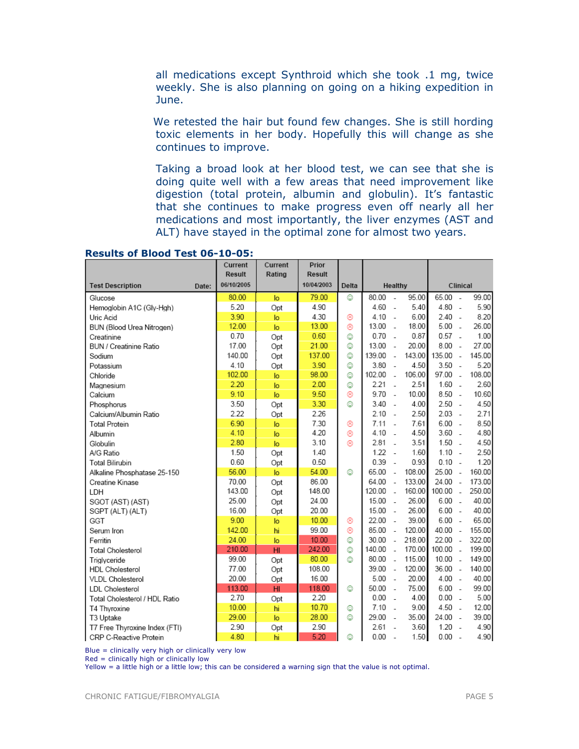all medications except Synthroid which she took .1 mg, twice weekly. She is also planning on going on a hiking expedition in June.

We retested the hair but found few changes. She is still hording toxic elements in her body. Hopefully this will change as she continues to improve.

Taking a broad look at her blood test, we can see that she is doing quite well with a few areas that need improvement like digestion (total protein, albumin and globulin). It's fantastic that she continues to make progress even off nearly all her medications and most importantly, the liver enzymes (AST and ALT) have stayed in the optimal zone for almost two years.

|                                  | Current<br><b>Result</b> | Current<br>Rating | Prior<br>Result |       |         |                          |        |          |                          |          |  |  |
|----------------------------------|--------------------------|-------------------|-----------------|-------|---------|--------------------------|--------|----------|--------------------------|----------|--|--|
| <b>Test Description</b><br>Date: | 06/10/2005               |                   | 10/04/2003      | Delta | Healthy |                          |        |          |                          | Clinical |  |  |
| Glucose                          | 80.00                    | lo                | 79.00           | ٨     | 80.00   | $\overline{a}$           | 95.00  | 65.00    | $\sim$                   | 99.00    |  |  |
| Hemoglobin A1C (Gly-Hgh)         | 5.20                     | Opt               | 4.90            |       | 4.60    | $\overline{\phantom{a}}$ | 5.40   | 4.80     | $\overline{\phantom{a}}$ | 5.90     |  |  |
| Uric Acid                        | 3.90                     | lo                | 4.30            | ⊛     | 4.10    | $\overline{a}$           | 6.00   | 2.40     | $\sim$                   | 8.20     |  |  |
| BUN (Blood Urea Nitrogen)        | 12.00                    | $\overline{a}$    | 13.00           | ⊛     | 13.00   | ÷.                       | 18.00  | 5.00     | $\overline{\phantom{a}}$ | 26.00    |  |  |
| Creatinine                       | 0.70                     | Opt               | 0.60            | ☺     | 0.70    | $\overline{\phantom{a}}$ | 0.87   | $0.57 -$ |                          | 1.00     |  |  |
| BUN / Creatinine Ratio           | 17.00                    | Opt               | 21.00           | O     | 13.00   | $\overline{\phantom{a}}$ | 20.00  | 8.00     | $\overline{\phantom{a}}$ | 27.00    |  |  |
| Sodium                           | 140.00                   | Opt               | 137.00          | O     | 139.00  | $\overline{a}$           | 143.00 | 135.00   | $\sim$                   | 145.00   |  |  |
| Potassium                        | 4.10                     | Opt               | 3.90            | O     | 3.80    | $\overline{\phantom{a}}$ | 4.50   | 3.50     | $\sim$                   | 5.20     |  |  |
| Chloride                         | 102.00                   | lo                | 98.00           | O     | 102.00  | $\overline{a}$           | 106.00 | 97.00    | $\overline{a}$           | 108.00   |  |  |
| Magnesium                        | 2.20                     | lo                | 2.00            | O     | 2.21    | $\overline{a}$           | 2.51   | 1.60     | $\overline{\phantom{a}}$ | 2.60     |  |  |
| Calcium                          | 9.10                     | lo                | 9.50            | 0     | 9.70    | $\overline{\phantom{a}}$ | 10.00  | $8.50 -$ |                          | 10.60    |  |  |
| Phosphorus                       | 3.50                     | Opt               | 3.30            | O     | 3.40    | $\overline{\phantom{a}}$ | 4.00   | 2.50     | $\overline{\phantom{a}}$ | 4.50     |  |  |
| Calcium/Albumin Ratio            | 2.22                     | Opt               | 2.26            |       | 2.10    | $\overline{a}$           | 2.50   | $2.03 -$ |                          | 2.71     |  |  |
| <b>Total Protein</b>             | 6.90                     | lo                | 7.30            | ⊛     | 7.11    | $\sim$                   | 7.61   | 6.00     | $\sim$                   | 8.50     |  |  |
| Albumin                          | 4.10                     | lo                | 4.20            | ⊛     | 4.10    | $\overline{\phantom{a}}$ | 4.50   | 3.60     | $\sim$                   | 4.80     |  |  |
| Globulin                         | 2.80                     | lo                | 3.10            | ⊛     | 2.81    | $\overline{a}$           | 3.51   | 1.50     | $\overline{a}$           | 4.50     |  |  |
| A/G Ratio                        | 1.50                     | Opt               | 1.40            |       | 1.22    | $\overline{\phantom{a}}$ | 1.60   | $1.10 -$ |                          | 2.50     |  |  |
| <b>Total Bilirubin</b>           | 0.60                     | Opt               | 0.50            |       | 0.39    | $\sim$                   | 0.93   | $0.10 -$ |                          | 1.20     |  |  |
| Alkaline Phosphatase 25-150      | 56.00                    | lo.               | 54.00           | ☺     | 65.00   | $\overline{\phantom{a}}$ | 108.00 | 25.00    | ÷.                       | 160.00   |  |  |
| Creatine Kinase                  | 70.00                    | Opt               | 86.00           |       | 64.00   | $\overline{\phantom{a}}$ | 133.00 | 24.00    | $\sim$                   | 173.00   |  |  |
| LDH                              | 143.00                   | Opt               | 148.00          |       | 120.00  | $\overline{a}$           | 160.00 | 100.00   | $\overline{a}$           | 250.00   |  |  |
| SGOT (AST) (AST)                 | 25.00                    | Opt               | 24.00           |       | 15.00   | $\sim$                   | 26.00  | 6.00     | $\overline{a}$           | 40.00    |  |  |
| SGPT (ALT) (ALT)                 | 16.00                    | Opt               | 20.00           |       | 15.00   | $\sim$                   | 26.00  | $6.00 -$ |                          | 40.00    |  |  |
| GGT                              | 9.00                     | lo                | 10.00           | ⊛     | 22.00   | $\sim$                   | 39.00  | $6.00 -$ |                          | 65.00    |  |  |
| Serum Iron                       | 142.00                   | hi                | 99.00           | 0     | 85.00   | $\overline{a}$           | 120.00 | 40.00    | $\sim$                   | 155.00   |  |  |
| Ferritin                         | 24.00                    | lo                | 10.00           | O     | 30.00   | $\overline{\phantom{a}}$ | 218.00 | 22.00    | $\sim$                   | 322.00   |  |  |
| <b>Total Cholesterol</b>         | 210.00                   | H1                | 242.00          | O     | 140.00  | $\sim$                   | 170.00 | 100.00   | $\sim$                   | 199.00   |  |  |
| Triglyceride                     | 99.00                    | Opt               | 80.00           | O     | 80.00   | $\overline{\phantom{a}}$ | 115.00 | 10.00    | $\overline{a}$           | 149.00   |  |  |
| <b>HDL</b> Cholesterol           | 77.00                    | Opt               | 108.00          |       | 39.00   | $\sim$                   | 120.00 | 36.00    | $\sim$                   | 140.00   |  |  |
| VLDL Cholesterol                 | 20.00                    | Opt               | 16.00           |       | 5.00    | $\sim$                   | 20.00  | $4.00 -$ |                          | 40.00    |  |  |
| <b>LDL</b> Cholesterol           | 113.00                   | H <sub>II</sub>   | 118.00          | O     | 50.00   | $\overline{\phantom{a}}$ | 75.00  | $6.00 -$ |                          | 99.00    |  |  |
| Total Cholesterol / HDL Ratio    | 2.70                     | Opt               | 2.20            |       | 0.00    | $\overline{a}$           | 4.00   | $0.00 -$ |                          | 5.00     |  |  |
| T4 Thyroxine                     | 10.00                    | hi                | 10.70           | O     | 7.10    | $\overline{a}$           | 9.00   | 4.50     | $\overline{a}$           | 12.00    |  |  |
| T3 Uptake                        | 29.00                    | lo                | 28.00           | ٧     | 29.00   | $\overline{\phantom{a}}$ | 35.00  | 24.00    | $\overline{\phantom{a}}$ | 39.00    |  |  |
| T7 Free Thyroxine Index (FTI)    | 2.90                     | Opt               | 2.90            |       | 2.61    | $\overline{\phantom{a}}$ | 3.60   | 1.20     | $\sim$                   | 4.90     |  |  |
| CRP C-Reactive Protein           | 4.80                     | hi                | 5.20            | ٨     | 0.00    | $\overline{\phantom{a}}$ | 1.50   | 0.00     | ÷.                       | 4.90     |  |  |

#### Results of Blood Test 06-10-05:

Blue = clinically very high or clinically very low

Red = clinically high or clinically low

Yellow = a little high or a little low; this can be considered a warning sign that the value is not optimal.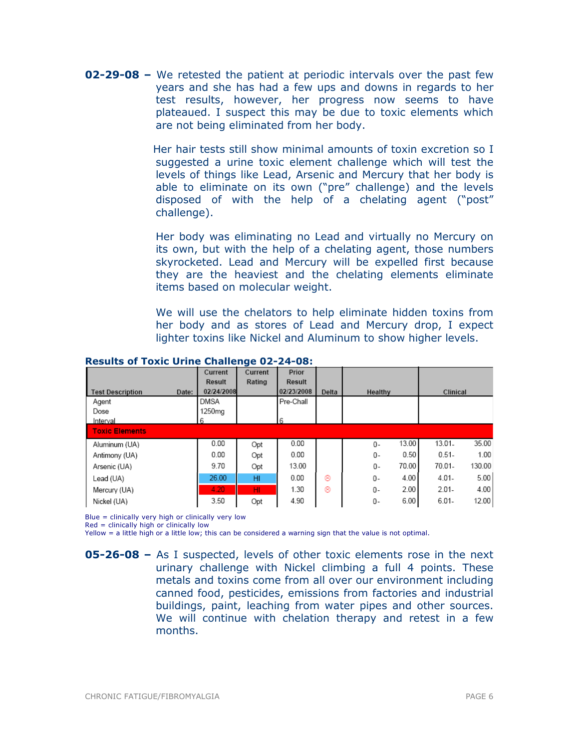**02-29-08 –** We retested the patient at periodic intervals over the past few years and she has had a few ups and downs in regards to her test results, however, her progress now seems to have plateaued. I suspect this may be due to toxic elements which are not being eliminated from her body.

> Her hair tests still show minimal amounts of toxin excretion so I suggested a urine toxic element challenge which will test the levels of things like Lead, Arsenic and Mercury that her body is able to eliminate on its own ("pre" challenge) and the levels disposed of with the help of a chelating agent ("post" challenge).

> Her body was eliminating no Lead and virtually no Mercury on its own, but with the help of a chelating agent, those numbers skyrocketed. Lead and Mercury will be expelled first because they are the heaviest and the chelating elements eliminate items based on molecular weight.

> We will use the chelators to help eliminate hidden toxins from her body and as stores of Lead and Mercury drop, I expect lighter toxins like Nickel and Aluminum to show higher levels.

|                                  | Current       | Current         | Prior         |       |                |                   |
|----------------------------------|---------------|-----------------|---------------|-------|----------------|-------------------|
|                                  | <b>Result</b> | Rating          | <b>Result</b> |       |                |                   |
| <b>Test Description</b><br>Date: | 02/24/2008    |                 | 02/23/2008    | Delta | Healthy        | Clinical          |
| Agent                            | <b>DMSA</b>   |                 | Pre-Chall     |       |                |                   |
| Dose                             | 1250mg        |                 |               |       |                |                   |
| Interval                         | 6             |                 | 6             |       |                |                   |
| <b>Toxic Elements</b>            |               |                 |               |       |                |                   |
| Aluminum (UA)                    | 0.00          | Opt             | 0.00          |       | 13.00<br>$0 -$ | 35.00<br>13.01-   |
| Antimony (UA)                    | 0.00          | Opt             | 0.00          |       | 0.50<br>0-     | $0.51 -$<br>1.00  |
| Arsenic (UA)                     | 9.70          | Opt             | 13.00         |       | 70.00<br>0-    | 70.01-<br>130.00  |
| Lead (UA)                        | 26.00         | HI.             | 0.00          | ⊛     | 4.00<br>0-     | 5.00<br>$4.01 -$  |
| Mercury (UA)                     | 4.20          | H <sub>II</sub> | 1.30          | ⊛     | 2.00<br>$0 -$  | $2.01 -$<br>4.00  |
| Nickel (UA)                      | 3.50          | Opt             | 4.90          |       | 6.00<br>0-     | $6.01 -$<br>12.00 |

#### Results of Toxic Urine Challenge 02-24-08:

Blue = clinically very high or clinically very low

 $Red =$  clinically high or clinically low

Yellow = a little high or a little low; this can be considered a warning sign that the value is not optimal.

**<sup>05-26-08 –</sup>** As I suspected, levels of other toxic elements rose in the next urinary challenge with Nickel climbing a full 4 points. These metals and toxins come from all over our environment including canned food, pesticides, emissions from factories and industrial buildings, paint, leaching from water pipes and other sources. We will continue with chelation therapy and retest in a few months.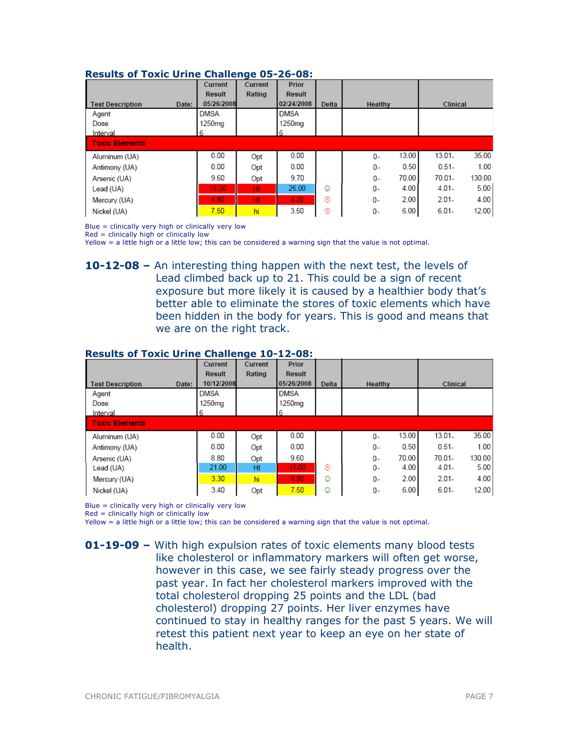| Results of Toxic Office Chancings op 20 001 |            |         |                    |       |         |       |           |        |
|---------------------------------------------|------------|---------|--------------------|-------|---------|-------|-----------|--------|
|                                             | Current    | Current | Prior              |       |         |       |           |        |
|                                             | Result     | Rating  | Result             |       |         |       |           |        |
| <b>Test Description</b><br>Date:            | 05/26/2008 |         | 02/24/2008         | Delta | Healthy |       | Clinical  |        |
| Agent                                       | DMSA       |         | DMSA               |       |         |       |           |        |
| Dose                                        | 1250mg     |         | 1250 <sub>ma</sub> |       |         |       |           |        |
| Interval                                    | 6          |         | 6                  |       |         |       |           |        |
| <b>Toxic Elements</b>                       |            |         |                    |       |         |       |           |        |
| Aluminum (UA)                               | 0.00       | Opt     | 0.00               |       | 0-      | 13.00 | $13.01 -$ | 35.00  |
| Antimony (UA)                               | 0.00       | Opt     | 0.00               |       | 0-      | 0.50  | $0.51 -$  | 1.00   |
| Arsenic (UA)                                | 9.60       | Opt     | 9.70               |       | $0 -$   | 70.00 | 70.01-    | 130.00 |
| Lead (UA)                                   | 15.00      | HI.     | 26.00              | ☺     | 0-      | 4.00  | $4.01 -$  | 5.00   |
| Mercury (UA)                                | 4.80       | HI.     | 4.20               | ⊛     | 0-      | 2.00  | $2.01 -$  | 4.00   |
| Nickel (UA)                                 | 7.50       | hi      | 3.50               | ⊛     | 0-      | 6.00  | $6.01 -$  | 12.00  |

#### Results of Toxic Urine Challenge 05-26-08:

Blue = clinically very high or clinically very low

Red = clinically high or clinically low

Yellow = a little high or a little low; this can be considered a warning sign that the value is not optimal.

10-12-08 – An interesting thing happen with the next test, the levels of Lead climbed back up to 21. This could be a sign of recent exposure but more likely it is caused by a healthier body that's better able to eliminate the stores of toxic elements which have been hidden in the body for years. This is good and means that we are on the right track.

#### Results of Toxic Urine Challenge 10-12-08:

|                                  | Current            | Current | Prior              |       |                |                   |
|----------------------------------|--------------------|---------|--------------------|-------|----------------|-------------------|
|                                  | Result             | Rating  | Result             |       |                |                   |
| <b>Test Description</b><br>Date: | 10/12/2008         |         | 05/26/2008         | Delta | Healthy        | Clinical          |
| Agent                            | <b>DMSA</b>        |         | DMSA               |       |                |                   |
| Dose                             | 1250 <sub>mq</sub> |         | 1250 <sub>ma</sub> |       |                |                   |
| Interval                         | 6                  |         | 6                  |       |                |                   |
| <b>Toxic Elements</b>            |                    |         |                    |       |                |                   |
| Aluminum (UA)                    | 0.00               | Opt     | 0.00               |       | 13.00<br>$0 -$ | 35.00<br>13.01.   |
| Antimony (UA)                    | 0.00               | Opt     | 0.00               |       | 0.50<br>0-     | $0.51 -$<br>1.00  |
| Arsenic (UA)                     | 8.80               | Opt     | 9.60               |       | 70.00<br>$0 -$ | 70.01-<br>130.00  |
| Lead (UA)                        | 21.00              | HI      | 15.00              | ⊛     | 4.00<br>0-     | $4.01 -$<br>5.00  |
| Mercury (UA)                     | 3.30               | hi      | 4.80               | ٥     | 2.00<br>0-     | $2.01 -$<br>4.00  |
| Nickel (UA)                      | 3.40               | Opt     | 7.50               | ٥     | 6.00<br>0-     | $6.01 -$<br>12.00 |

Blue = clinically very high or clinically very low

Red = clinically high or clinically low

Yellow = a little high or a little low; this can be considered a warning sign that the value is not optimal.

**01-19-09 –** With high expulsion rates of toxic elements many blood tests like cholesterol or inflammatory markers will often get worse, however in this case, we see fairly steady progress over the past year. In fact her cholesterol markers improved with the total cholesterol dropping 25 points and the LDL (bad cholesterol) dropping 27 points. Her liver enzymes have continued to stay in healthy ranges for the past 5 years. We will retest this patient next year to keep an eye on her state of health.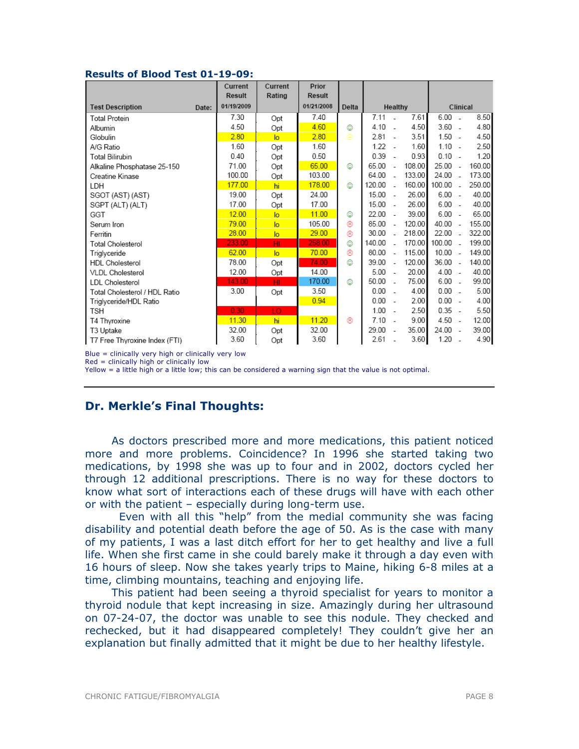#### Results of Blood Test 01-19-09:

|                               |       | Current<br>Result | Current<br>Rating | Prior<br>Result |       |           |                          |        |           |                          |          |  |
|-------------------------------|-------|-------------------|-------------------|-----------------|-------|-----------|--------------------------|--------|-----------|--------------------------|----------|--|
| <b>Test Description</b>       | Date: | 01/19/2009        |                   | 01/21/2008      | Delta | Healthy   |                          |        |           |                          | Clinical |  |
| <b>Total Protein</b>          |       | 7.30              | Opt               | 7.40            |       | 7.11      |                          | 7.61   | 6.00      | $\overline{\phantom{a}}$ | 8.50     |  |
| Albumin                       |       | 4.50              | Opt               | 4.60            | ☺     | $4.10 -$  |                          | 4.50   | $3.60 -$  |                          | 4.80     |  |
| Globulin                      |       | 280               | lo                | 2.80            | ⊜     | $2.81 -$  |                          | 3.51   | $1.50 -$  |                          | 4.50     |  |
| A/G Ratio                     |       | 1.60              | Opt               | 1.60            |       | 1.22      | $\overline{\phantom{a}}$ | 1.60   | $1.10 -$  |                          | 2.50     |  |
| <b>Total Bilirubin</b>        |       | 0.40              | Opt               | 0.50            |       | 0.39      | $\overline{\phantom{a}}$ | 0.93   | 0.10      | $\sim$                   | 1.20     |  |
| Alkaline Phosphatase 25-150   |       | 71.00             | Opt               | 65.00           | ☺     | 65.00     | $\overline{a}$           | 108.00 | 25.00     | $\overline{\phantom{a}}$ | 160.00   |  |
| Creatine Kinase               |       | 100.00            | Opt               | 103.00          |       | 64.00     | $\overline{a}$           | 133.00 | 24.00     | $\overline{\phantom{a}}$ | 173.00   |  |
| LDH                           |       | 177.00            | hi                | 178.00          | ٧     | 120.00    | $\overline{a}$           | 160.00 | 100.00    | $\overline{a}$           | 250.00   |  |
| SGOT (AST) (AST)              |       | 19.00             | Opt               | 24.00           |       | 15.00     | $\overline{\phantom{a}}$ | 26.00  | 6.00      | $\sim$                   | 40.00    |  |
| SGPT (ALT) (ALT)              |       | 17.00             | Opt               | 17.00           |       | $15.00 -$ |                          | 26.00  | $6.00 -$  |                          | 40.00    |  |
| GGT                           |       | 12.00             | lo.               | 11.00           | ☺     | 22.00     | $\overline{\phantom{a}}$ | 39.00  | 6.00      | $\sim$                   | 65.00    |  |
| Serum Iron                    |       | 79.00             | lo.               | 105.00          | ⊛     | 85.00     | $\overline{a}$           | 120.00 | 40.00     | $\sim$                   | 155.00   |  |
| Ferritin                      |       | 28.00             | lo.               | 29.00           | ⊛     | 30.00     | ÷.                       | 218.00 | 22.00     |                          | 322.00   |  |
| <b>Total Cholesterol</b>      |       | 233.00            | HI                | 258.00          | 0     | 140.00    | $\overline{a}$           | 170.00 | 100.00    | $\overline{\phantom{a}}$ | 199.00   |  |
| Triglyceride                  |       | 62.00             | $\overline{a}$    | 70.00           | ⊛     | 80.00     | $\overline{\phantom{a}}$ | 115.00 | 10.00     | $\sim$                   | 149.00   |  |
| <b>HDL</b> Cholesterol        |       | 78.00             | Opt               | 74.00           | ☺     | 39.00     | $\sim$                   | 120.00 | 36.00     | $\sim$                   | 140.00   |  |
| <b>VLDL</b> Cholesterol       |       | 12.00             | Opt               | 14.00           |       | 5.00      | $\overline{\phantom{a}}$ | 20.00  | $4.00 -$  |                          | 40.00    |  |
| <b>LDL</b> Cholesterol        |       | 143.00            | HI.               | 170.00          | ٨     | 50.00     | $\overline{a}$           | 75.00  | $6.00 -$  |                          | 99.00    |  |
| Total Cholesterol / HDL Ratio |       | 3.00              | Opt               | 3.50            |       | 0.00      | $\overline{\phantom{a}}$ | 4.00   | 0.00      | ÷.                       | 5.00     |  |
| Triglyceride/HDL Ratio        |       |                   |                   | 0.94            |       | 0.00      | $\overline{\phantom{a}}$ | 2.00   | $0.00 -$  |                          | 4.00     |  |
| TSH                           |       | 0.30              | LO                |                 |       | $1.00 -$  |                          | 2.50   | $0.35 -$  |                          | 5.50     |  |
| T4 Thyroxine                  |       | 11.30             | hi                | 11.20           | ⊛     | 7.10      | $\sim$                   | 9.00   | 4.50      | $\sim$                   | 12.00    |  |
| T3 Uptake                     |       | 32.00             | Opt               | 32.00           |       | 29.00     | $\overline{\phantom{a}}$ | 35.00  | $24.00 -$ |                          | 39.00    |  |
| T7 Free Thyroxine Index (FTI) |       | 3.60              | Opt               | 3.60            |       | 2.61      |                          | 3.60   | 1.20      | ۰.                       | 4.90     |  |

Blue = clinically very high or clinically very low

Red = clinically high or clinically low

Yellow = a little high or a little low; this can be considered a warning sign that the value is not optimal.

## Dr. Merkle's Final Thoughts:

As doctors prescribed more and more medications, this patient noticed more and more problems. Coincidence? In 1996 she started taking two medications, by 1998 she was up to four and in 2002, doctors cycled her through 12 additional prescriptions. There is no way for these doctors to know what sort of interactions each of these drugs will have with each other or with the patient – especially during long-term use.

 Even with all this "help" from the medial community she was facing disability and potential death before the age of 50. As is the case with many of my patients, I was a last ditch effort for her to get healthy and live a full life. When she first came in she could barely make it through a day even with 16 hours of sleep. Now she takes yearly trips to Maine, hiking 6-8 miles at a time, climbing mountains, teaching and enjoying life.

This patient had been seeing a thyroid specialist for years to monitor a thyroid nodule that kept increasing in size. Amazingly during her ultrasound on 07-24-07, the doctor was unable to see this nodule. They checked and rechecked, but it had disappeared completely! They couldn't give her an explanation but finally admitted that it might be due to her healthy lifestyle.